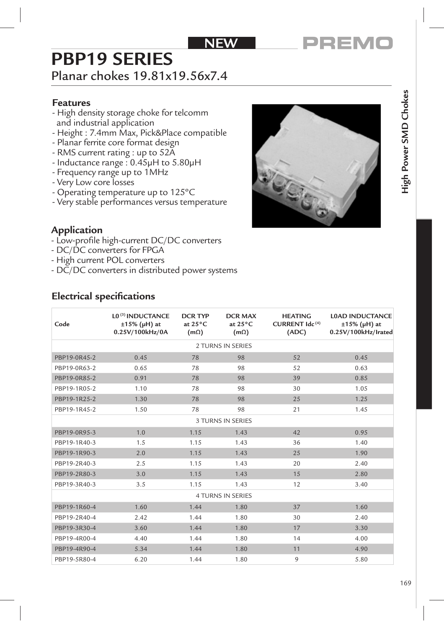### NFW

# **PBP19 SERIES**

# Planar chokes 19.81x19.56x7.4

#### **Features**

- High density storage choke for telcomm and industrial application
- Height : 7.4mm Max, Pick&Place compatible
- Planar ferrite core format design
- RMS current rating : up to 52A
- Inductance range : 0.45µH to 5.80µH
- Frequency range up to 1MHz
- Very Low core losses
- Operating temperature up to 125°C
- Very stable performances versus temperature



#### **Application**

- Low-profile high-current DC/DC converters
- DC/DC converters for FPGA
- High current POL converters
- DC/DC converters in distributed power systems

#### **Electrical specifications**

| Code                     | L0 <sup>(3)</sup> INDUCTANCE<br>$±15\%$ (µH) at<br>0.25V/100kHz/0A | <b>DCR TYP</b><br>at $25^{\circ}$ C<br>$(m\Omega)$ | <b>DCR MAX</b><br>at $25^{\circ}$ C<br>$(m\Omega)$ | <b>HEATING</b><br>CURRENT Idc <sup>(4)</sup><br>(ADC) | <b>L0AD INDUCTANCE</b><br>$±15\%$ (µH) at<br>0.25V/100kHz/Irated |  |  |  |
|--------------------------|--------------------------------------------------------------------|----------------------------------------------------|----------------------------------------------------|-------------------------------------------------------|------------------------------------------------------------------|--|--|--|
| 2 TURNS IN SERIES        |                                                                    |                                                    |                                                    |                                                       |                                                                  |  |  |  |
| PBP19-0R45-2             | 0.45                                                               | 78                                                 | 98                                                 | 52                                                    | 0.45                                                             |  |  |  |
| PBP19-0R63-2             | 0.65                                                               | 78                                                 | 98                                                 | 52                                                    | 0.63                                                             |  |  |  |
| PBP19-0R85-2             | 0.91                                                               | 78                                                 | 98                                                 | 39                                                    | 0.85                                                             |  |  |  |
| PBP19-1R05-2             | 1.10                                                               | 78                                                 | 98                                                 | 30                                                    | 1.05                                                             |  |  |  |
| PBP19-1R25-2             | 1.30                                                               | 78                                                 | 98                                                 | 25                                                    | 1.25                                                             |  |  |  |
| PBP19-1R45-2             | 1.50                                                               | 78                                                 | 98                                                 | 21                                                    | 1.45                                                             |  |  |  |
| <b>3 TURNS IN SERIES</b> |                                                                    |                                                    |                                                    |                                                       |                                                                  |  |  |  |
| PBP19-0R95-3             | 1.0                                                                | 1.15                                               | 1.43                                               | 42                                                    | 0.95                                                             |  |  |  |
| PBP19-1R40-3             | 1.5                                                                | 1.15                                               | 1.43                                               | 36                                                    | 1.40                                                             |  |  |  |
| PBP19-1R90-3             | 2.0                                                                | 1.15                                               | 1.43                                               | 25                                                    | 1.90                                                             |  |  |  |
| PBP19-2R40-3             | 2.5                                                                | 1.15                                               | 1.43                                               | 20                                                    | 2.40                                                             |  |  |  |
| PBP19-2R80-3             | 3.0                                                                | 1.15                                               | 1.43                                               | 15                                                    | 2.80                                                             |  |  |  |
| PBP19-3R40-3             | 3.5                                                                | 1.15                                               | 1.43                                               | 12                                                    | 3.40                                                             |  |  |  |
| 4 TURNS IN SERIES        |                                                                    |                                                    |                                                    |                                                       |                                                                  |  |  |  |
| PBP19-1R60-4             | 1.60                                                               | 1.44                                               | 1.80                                               | 37                                                    | 1.60                                                             |  |  |  |
| PBP19-2R40-4             | 2.42                                                               | 1.44                                               | 1.80                                               | 30                                                    | 2.40                                                             |  |  |  |
| PBP19-3R30-4             | 3.60                                                               | 1.44                                               | 1.80                                               | 17                                                    | 3.30                                                             |  |  |  |
| PBP19-4R00-4             | 4.40                                                               | 1.44                                               | 1.80                                               | 14                                                    | 4.00                                                             |  |  |  |
| PBP19-4R90-4             | 5.34                                                               | 1.44                                               | 1.80                                               | 11                                                    | 4.90                                                             |  |  |  |
| PBP19-5R80-4             | 6.20                                                               | 1.44                                               | 1.80                                               | 9                                                     | 5.80                                                             |  |  |  |